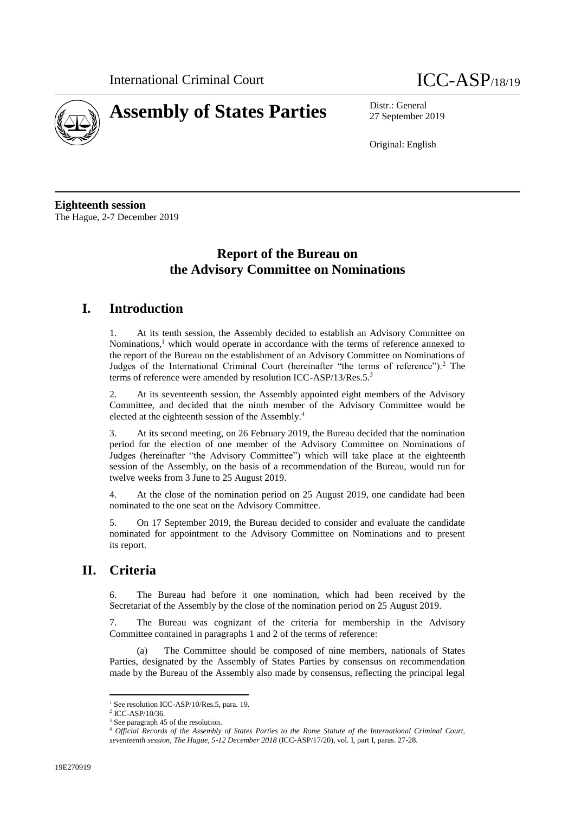



27 September 2019

Original: English

**Eighteenth session** The Hague, 2-7 December 2019

## **Report of the Bureau on the Advisory Committee on Nominations**

## **I. Introduction**

1. At its tenth session, the Assembly decided to establish an Advisory Committee on Nominations,<sup>1</sup> which would operate in accordance with the terms of reference annexed to the report of the Bureau on the establishment of an Advisory Committee on Nominations of Judges of the International Criminal Court (hereinafter "the terms of reference").<sup>2</sup> The terms of reference were amended by resolution ICC-ASP/13/Res.5.<sup>3</sup>

2. At its seventeenth session, the Assembly appointed eight members of the Advisory Committee, and decided that the ninth member of the Advisory Committee would be elected at the eighteenth session of the Assembly.<sup>4</sup>

3. At its second meeting, on 26 February 2019, the Bureau decided that the nomination period for the election of one member of the Advisory Committee on Nominations of Judges (hereinafter "the Advisory Committee") which will take place at the eighteenth session of the Assembly, on the basis of a recommendation of the Bureau, would run for twelve weeks from 3 June to 25 August 2019.

4. At the close of the nomination period on 25 August 2019, one candidate had been nominated to the one seat on the Advisory Committee.

5. On 17 September 2019, the Bureau decided to consider and evaluate the candidate nominated for appointment to the Advisory Committee on Nominations and to present its report.

## **II. Criteria**

6. The Bureau had before it one nomination, which had been received by the Secretariat of the Assembly by the close of the nomination period on 25 August 2019.

The Bureau was cognizant of the criteria for membership in the Advisory Committee contained in paragraphs 1 and 2 of the terms of reference:

(a) The Committee should be composed of nine members, nationals of States Parties, designated by the Assembly of States Parties by consensus on recommendation made by the Bureau of the Assembly also made by consensus, reflecting the principal legal

 $\overline{\phantom{a}}$ 

<sup>&</sup>lt;sup>1</sup> See resolution ICC-ASP/10/Res.5, para. 19.

<sup>2</sup> ICC-ASP/10/36.

<sup>&</sup>lt;sup>3</sup> See paragraph 45 of the resolution.

<sup>4</sup> *Official Records of the Assembly of States Parties to the Rome Statute of the International Criminal Court, seventeenth session, The Hague, 5-12 December 2018* (ICC-ASP/17/20), vol. I, part I, paras. 27-28.